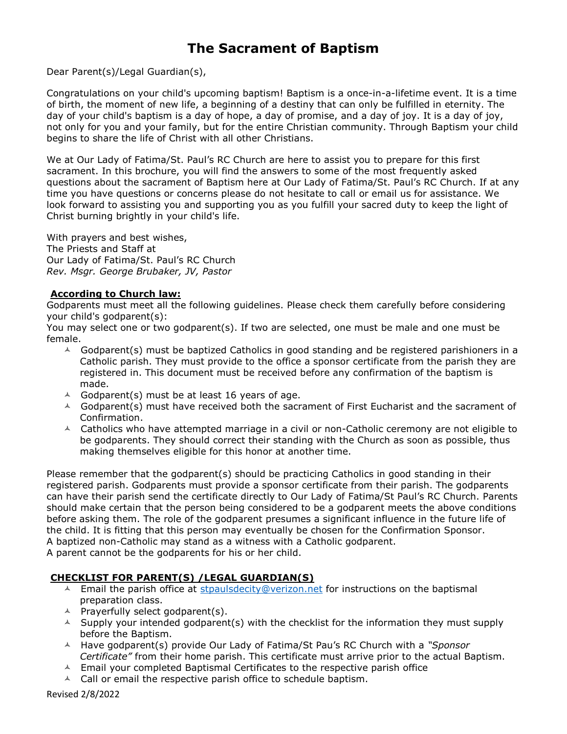# The Sacrament of Baptism

Dear Parent(s)/Legal Guardian(s),

Congratulations on your child's upcoming baptism! Baptism is a once-in-a-lifetime event. It is a time of birth, the moment of new life, a beginning of a destiny that can only be fulfilled in eternity. The day of your child's baptism is a day of hope, a day of promise, and a day of joy. It is a day of joy, not only for you and your family, but for the entire Christian community. Through Baptism your child begins to share the life of Christ with all other Christians.

We at Our Lady of Fatima/St. Paul's RC Church are here to assist you to prepare for this first sacrament. In this brochure, you will find the answers to some of the most frequently asked questions about the sacrament of Baptism here at Our Lady of Fatima/St. Paul's RC Church. If at any time you have questions or concerns please do not hesitate to call or email us for assistance. We look forward to assisting you and supporting you as you fulfill your sacred duty to keep the light of Christ burning brightly in your child's life.

With prayers and best wishes, The Priests and Staff at Our Lady of Fatima/St. Paul's RC Church Rev. Msgr. George Brubaker, JV, Pastor

# According to Church law:

Godparents must meet all the following guidelines. Please check them carefully before considering your child's godparent(s):

You may select one or two godparent(s). If two are selected, one must be male and one must be female.

- $\triangle$  Godparent(s) must be baptized Catholics in good standing and be registered parishioners in a Catholic parish. They must provide to the office a sponsor certificate from the parish they are registered in. This document must be received before any confirmation of the baptism is made.
- $\triangle$  Godparent(s) must be at least 16 years of age.
- $\triangle$  Godparent(s) must have received both the sacrament of First Eucharist and the sacrament of Confirmation.
- $\triangle$  Catholics who have attempted marriage in a civil or non-Catholic ceremony are not eligible to be godparents. They should correct their standing with the Church as soon as possible, thus making themselves eligible for this honor at another time.

Please remember that the godparent(s) should be practicing Catholics in good standing in their registered parish. Godparents must provide a sponsor certificate from their parish. The godparents can have their parish send the certificate directly to Our Lady of Fatima/St Paul's RC Church. Parents should make certain that the person being considered to be a godparent meets the above conditions before asking them. The role of the godparent presumes a significant influence in the future life of the child. It is fitting that this person may eventually be chosen for the Confirmation Sponsor. A baptized non-Catholic may stand as a witness with a Catholic godparent.

A parent cannot be the godparents for his or her child.

# CHECKLIST FOR PARENT(S) /LEGAL GUARDIAN(S)

- $\triangle$  Email the parish office at stpaulsdecity@verizon.net for instructions on the baptismal preparation class.
- $\triangle$  Prayerfully select godparent(s).
- $\triangle$  Supply your intended godparent(s) with the checklist for the information they must supply before the Baptism.
- $\overline{A}$  Have godparent(s) provide Our Lady of Fatima/St Pau's RC Church with a "Sponsor Certificate" from their home parish. This certificate must arrive prior to the actual Baptism.
- $\triangle$  Email your completed Baptismal Certificates to the respective parish office
- $\triangle$  Call or email the respective parish office to schedule baptism.